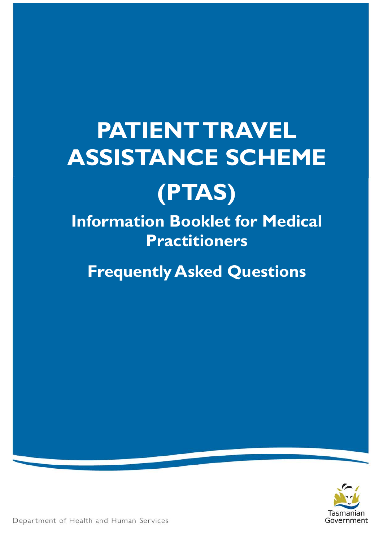# **PATIENT TRAVEL ASSISTANCE SCHEME**



**Information Booklet for Medical Practitioners**

**Frequently Asked Questions**



Department of Health and Human Services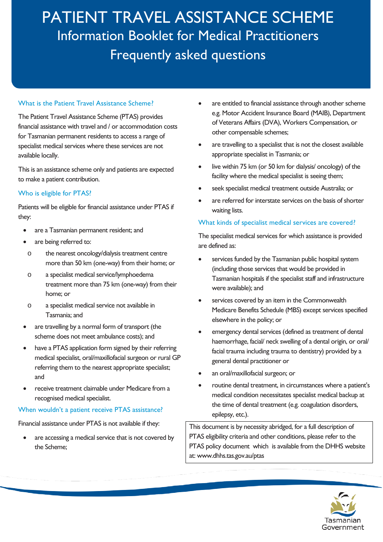### What is the Patient Travel Assistance Scheme?

The Patient Travel Assistance Scheme (PTAS) provides financial assistance with travel and / or accommodation costs for Tasmanian permanent residents to access a range of specialist medical services where these services are not available locally.

This is an assistance scheme only and patients are expected to make a patient contribution.

### Who is eligible for PTAS?

Patients will be eligible for financial assistance under PTAS if they:

- are a Tasmanian permanent resident; and
- are being referred to:
- o the nearest oncology/dialysis treatment centre more than 50 km (one-way) from their home; or
- o a specialist medical service/lymphoedema treatment more than 75 km (one-way) from their home; or
- o a specialist medical service not available in Tasmania; and
- are travelling by a normal form of transport (the scheme does not meet ambulance costs); and
- have a PTAS application form signed by their referring medical specialist, oral/maxillofacial surgeon or rural GP referring them to the nearest appropriate specialist; and
- receive treatment claimable under Medicare from a recognised medical specialist.

#### When wouldn't a patient receive PTAS assistance?

Financial assistance under PTAS is not available if they:

are accessing a medical service that is not covered by the Scheme;

- are entitled to financial assistance through another scheme e.g. Motor Accident Insurance Board (MAIB), Department of Veterans Affairs (DVA), Workers Compensation, or other compensable schemes;
- are travelling to a specialist that is not the closest available appropriate specialist in Tasmania; or
- live within 75 km (or 50 km for dialysis/ oncology) of the facility where the medical specialist is seeing them;
- seek specialist medical treatment outside Australia; or
- are referred for interstate services on the basis of shorter waiting lists.

#### What kinds of specialist medical services are covered?

The specialist medical services for which assistance is provided are defined as:

- services funded by the Tasmanian public hospital system (including those services that would be provided in Tasmanian hospitals if the specialist staff and infrastructure were available); and
- services covered by an item in the Commonwealth Medicare Benefits Schedule (MBS) except services specified elsewhere in the policy; or
- emergency dental services (defined as treatment of dental haemorrhage, facial/ neck swelling of a dental origin, or oral/ facial trauma including trauma to dentistry) provided by a general dental practitioner or
- an oral/maxillofacial surgeon; or
- routine dental treatment, in circumstances where a patient's medical condition necessitates specialist medical backup at the time of dental treatment (e.g. coagulation disorders, epilepsy, etc.).

This document is by necessity abridged, for a full description of PTAS eligibility criteria and other conditions, please refer to the PTAS policy document which is available from the DHHS website at: [www.dhhs.tas.gov.au/ptas](http://www.dhhs.tas.gov.au/ptas)

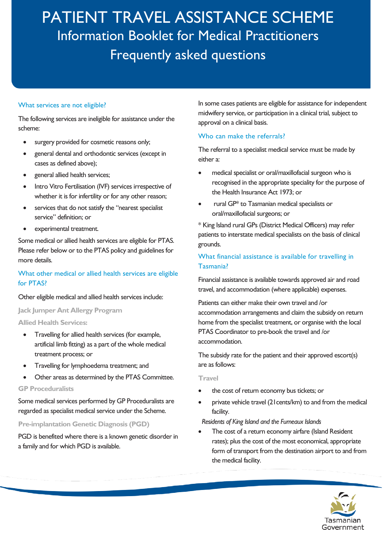#### What services are not eligible?

The following services are ineligible for assistance under the scheme:

- surgery provided for cosmetic reasons only;
- general dental and orthodontic services (except in cases as defined above);
- general allied health services;
- Intro Vitro Fertilisation (IVF) services irrespective of whether it is for infertility or for any other reason;
- services that do not satisfy the "nearest specialist service" definition; or
- experimental treatment.

Some medical or allied health services are eligible for PTAS. Please refer below or to the PTAS policy and guidelines for more details.

### What other medical or allied health services are eligible for PTAS?

#### Other eligible medical and allied health services include:

**Jack Jumper Ant Allergy Program**

### **Allied Health Services:**

- Travelling for allied health services (for example, artificial limb fitting) as a part of the whole medical treatment process; or
- Travelling for lymphoedema treatment; and
- Other areas as determined by the PTAS Committee.

#### **GP Proceduralists**

Some medical services performed by GP Proceduralists are regarded as specialist medical service under the Scheme.

**Pre-implantation Genetic Diagnosis (PGD)** 

PGD is benefited where there is a known genetic disorder in a family and for which PGD is available.

In some cases patients are eligible for assistance for independent midwifery service, or participation in a clinical trial, subject to approval on a clinical basis.

#### Who can make the referrals?

The referral to a specialist medical service must be made by either a:

- medical specialist or oral/maxillofacial surgeon who is recognised in the appropriate speciality for the purpose of the Health Insurance Act 1973; or
- rural GP\* to Tasmanian medical specialists or oral/maxillofacial surgeons; or

\* King Island rural GPs (District Medical Officers) may refer patients to interstate medical specialists on the basis of clinical grounds.

# What financial assistance is available for travelling in Tasmania?

Financial assistance is available towards approved air and road travel, and accommodation (where applicable) expenses.

Patients can either make their own travel and /or accommodation arrangements and claim the subsidy on return home from the specialist treatment, or organise with the local PTAS Coordinator to pre-book the travel and /or accommodation.

The subsidy rate for the patient and their approved escort(s) are as follows:

#### **Travel**

- the cost of return economy bus tickets; or
- private vehicle travel (21 cents/km) to and from the medical facility.

*Residents of King Island and the Furneaux Islands*

The cost of a return economy airfare (Island Resident rates); plus the cost of the most economical, appropriate form of transport from the destination airport to and from the medical facility.

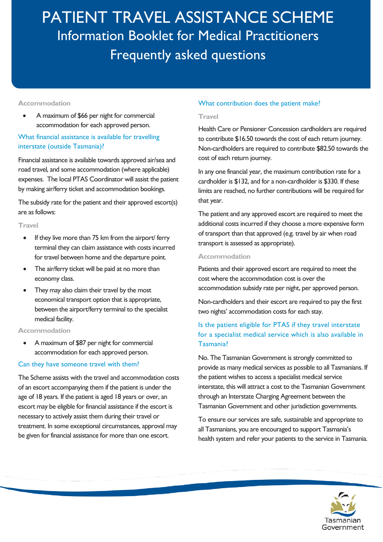#### **Accommodation**

• A maximum of \$66 per night for commercial accommodation for each approved person.

# What financial assistance is available for travelling interstate (outside Tasmania)?

Financial assistance is available towards approved air/sea and road travel, and some accommodation (where applicable) expenses. The local PTAS Coordinator will assist the patient by making air/ferry ticket and accommodation bookings.

The subsidy rate for the patient and their approved escort(s) are as follows:

#### **Travel**

- If they live more than 75 km from the airport/ ferry terminal they can claim assistance with costs incurred for travel between home and the departure point.
- The air/ferry ticket will be paid at no more than economy class.
- They may also claim their travel by the most economical transport option that is appropriate, between the airport/ferry terminal to the specialist medical facility.

#### **Accommodation**

• A maximum of \$87 per night for commercial accommodation for each approved person.

#### Can they have someone travel with them?

The Scheme assists with the travel and accommodation costs of an escort accompanying them if the patient is under the age of 18 years. If the patient is aged 18 years or over, an escort may be eligible for financial assistance if the escort is necessary to actively assist them during their travel or treatment. In some exceptional circumstances, approval may be given for financial assistance for more than one escort.

#### What contribution does the patient make?

#### **Travel**

Health Care or Pensioner Concession cardholders are required to contribute \$16.50 towards the cost of each return journey. Non-cardholders are required to contribute \$82.50 towards the cost of each return journey.

In any one financial year, the maximum contribution rate for a cardholder is \$132, and for a non-cardholder is \$330. If these limits are reached, no further contributions will be required for that year.

The patient and any approved escort are required to meet the additional costs incurred if they choose a more expensive form of transport than that approved (e.g. travel by air when road transport is assessed as appropriate).

#### **Accommodation**

Patients and their approved escort are required to meet the cost where the accommodation cost is over the accommodation subsidy rate per night, per approved person.

Non-cardholders and their escort are required to pay the first two nights' accommodation costs for each stay.

# Is the patient eligible for PTAS if they travel interstate for a specialist medical service which is also available in Tasmania?

No. The Tasmanian Government is strongly committed to provide as many medical services as possible to all Tasmanians. If the patient wishes to access a specialist medical service interstate, this will attract a cost to the Tasmanian Government through an Interstate Charging Agreement between the Tasmanian Government and other jurisdiction governments.

To ensure our services are safe, sustainable and appropriate to all Tasmanians, you are encouraged to support Tasmania's health system and refer your patients to the service in Tasmania.

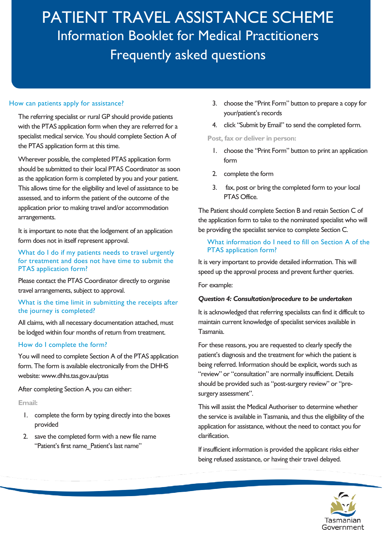#### How can patients apply for assistance?

The referring specialist or rural GP should provide patients with the PTAS application form when they are referred for a specialist medical service. You should complete Section A of the PTAS application form at this time.

Wherever possible, the completed PTAS application form should be submitted to their local PTAS Coordinator as soon as the application form is completed by you and your patient. This allows time for the eligibility and level of assistance to be assessed, and to inform the patient of the outcome of the application prior to making travel and/or accommodation arrangements.

It is important to note that the lodgement of an application form does not in itself represent approval.

What do I do if my patients needs to travel urgently for treatment and does not have time to submit the PTAS application form?

Please contact the PTAS Coordinator directly to organise travel arrangements, subject to approval.

#### What is the time limit in submitting the receipts after the journey is completed?

All claims, with all necessary documentation attached, must be lodged within four months of return from treatment.

#### How do I complete the form?

You will need to complete Section A of the PTAS application form. The form is available electronically from the DHHS website: www.dhhs.tas.gov.au/ptas

After completing Section A, you can either:

### **Email:**

- 1. complete the form by typing directly into the boxes provided
- 2. save the completed form with a new file name "Patient's first name Patient's last name"
- 3. choose the "Print Form" button to prepare a copy for your/patient's records
- 4. click "Submit by Email" to send the completed form.

**Post, fax or deliver in person:**

- 1. choose the "Print Form" button to print an application form
- 2. complete the form
- 3. fax, post or bring the completed form to your local PTAS Office.

The Patient should complete Section B and retain Section C of the application form to take to the nominated specialist who will be providing the specialist service to complete Section C.

#### What information do I need to fill on Section A of the PTAS application form?

It is very important to provide detailed information. This will speed up the approval process and prevent further queries.

For example:

#### *Question 4: Consultation/procedure to be undertaken*

It is acknowledged that referring specialists can find it difficult to maintain current knowledge of specialist services available in Tasmania.

For these reasons, you are requested to clearly specify the patient's diagnosis and the treatment for which the patient is being referred. Information should be explicit, words such as "review" or "consultation" are normally insufficient. Details should be provided such as "post-surgery review" or "presurgery assessment".

This will assist the Medical Authoriser to determine whether the service is available in Tasmania, and thus the eligibility of the application for assistance, without the need to contact you for clarification.

If insufficient information is provided the applicant risks either being refused assistance, or having their travel delayed.

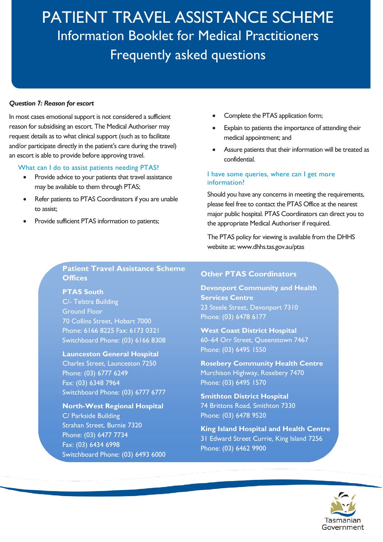#### *Question 7: Reason for escort*

In most cases emotional support is not considered a sufficient reason for subsidising an escort. The Medical Authoriser may request details as to what clinical support (such as to facilitate and/or participate directly in the patient's care during the travel) an escort is able to provide before approving travel.

#### What can I do to assist patients needing PTAS?

- Provide advice to your patients that travel assistance may be available to them through PTAS;
- Refer patients to PTAS Coordinators if you are unable to assist;
- Provide sufficient PTAS information to patients;
- Complete the PTAS application form;
- Explain to patients the importance of attending their medical appointment; and
- Assure patients that their information will be treated as confidential.

#### I have some queries, where can I get more information?

Should you have any concerns in meeting the requirements, please feel free to contact the PTAS Office at the nearest major public hospital. PTAS Coordinators can direct you to the appropriate Medical Authoriser if required.

The PTAS policy for viewing is available from the DHHS website at: [www.dhhs.tas.gov.au/ptas](http://www.dhhs.tas.gov.au/ptas)

### **Patient Travel Assistance Scheme Offices**

**PTAS South**

C/- Telstra Building Ground Floor 70 Collins Street, Hobart 7000 Phone: 6166 8225 Fax: 6173 0321 Switchboard Phone: (03) 6166 8308

# **Launceston General Hospital**

Charles Street, Launceston 7250 Phone: (03) 6777 6249 Fax: (03) 6348 7964 Switchboard Phone: (03) 6777 6777

# **North-West Regional Hospital** C/ Parkside Building

Strahan Street, Burnie 7320 Phone: (03) 6477 7734 Fax: (03) 6434 6998 Switchboard Phone: (03) 6493 6000

# **Other PTAS Coordinators**

**Devonport Community and Health Services Centre** 23 Steele Street, Devonport 7310 Phone: (03) 6478 6177

# **West Coast District Hospital**

60–64 Orr Street, Queenstown 7467 Phone: (03) 6495 1550

**Rosebery Community Health Centre** Murchison Highway, Rosebery 7470 Phone: (03) 6495 1570

**Smithton District Hospital** 74 Brittons Road, Smithton 7330 Phone: (03) 6478 9520

**King Island Hospital and Health Centre** 31 Edward Street Currie, King Island 7256 Phone: (03) 6462 9900

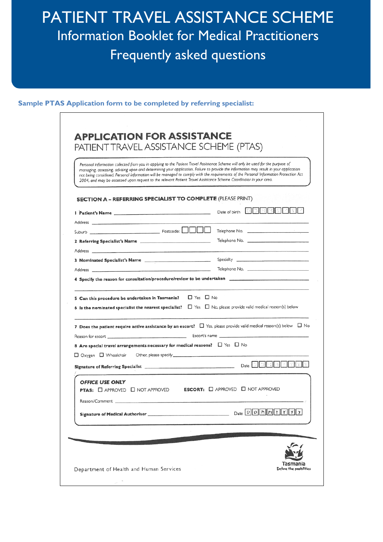#### **Sample PTAS Application form to be completed by referring specialist:**

| <b>SECTION A - REFERRING SPECIALIST TO COMPLETE (PLEASE PRINT)</b><br>DDMMY<br>Date of birth<br>$\Box$ Yes $\Box$ No                                                                                                                                                                                                                                                                                                           | Personal information collected from you in applying to the Patient Travel Assistance Scheme will only be used for the purpose of<br>managing, assessing, advising upon and determining your application. Failure to provide the information may result in your application<br>not being considered. Personal information will be managed to comply with the requirements of the Personal Information Protection Act<br>2004, and may be accessed upon request to the relevant Patient Travel Assistance Scheme Coordinator in your area. |                                                                                                      |
|--------------------------------------------------------------------------------------------------------------------------------------------------------------------------------------------------------------------------------------------------------------------------------------------------------------------------------------------------------------------------------------------------------------------------------|------------------------------------------------------------------------------------------------------------------------------------------------------------------------------------------------------------------------------------------------------------------------------------------------------------------------------------------------------------------------------------------------------------------------------------------------------------------------------------------------------------------------------------------|------------------------------------------------------------------------------------------------------|
|                                                                                                                                                                                                                                                                                                                                                                                                                                |                                                                                                                                                                                                                                                                                                                                                                                                                                                                                                                                          |                                                                                                      |
|                                                                                                                                                                                                                                                                                                                                                                                                                                |                                                                                                                                                                                                                                                                                                                                                                                                                                                                                                                                          |                                                                                                      |
| 5 Can this procedure be undertaken in Tasmania?<br>6 Is the nominated specialist the nearest specialist? $\Box$ Yes $\Box$ No, please provide valid medical reason(s) below<br>7 Does the patient require active assistance by an escort? $\Box$ Yes, please provide valid medical reason(s) below $\Box$ No<br>8 Are special travel arrangements necessary for medical reasons? $\Box$ Yes $\Box$ No<br>□ Oxygen □ Wheelchair |                                                                                                                                                                                                                                                                                                                                                                                                                                                                                                                                          |                                                                                                      |
|                                                                                                                                                                                                                                                                                                                                                                                                                                |                                                                                                                                                                                                                                                                                                                                                                                                                                                                                                                                          | Telephone No.                                                                                        |
|                                                                                                                                                                                                                                                                                                                                                                                                                                |                                                                                                                                                                                                                                                                                                                                                                                                                                                                                                                                          | Telephone No. 2008 - 2008 - 2008 - 2009 - 2010 - 2010 - 2010 - 2010 - 2010 - 2010 - 2010 - 2010 - 20 |
|                                                                                                                                                                                                                                                                                                                                                                                                                                |                                                                                                                                                                                                                                                                                                                                                                                                                                                                                                                                          |                                                                                                      |
|                                                                                                                                                                                                                                                                                                                                                                                                                                |                                                                                                                                                                                                                                                                                                                                                                                                                                                                                                                                          |                                                                                                      |
|                                                                                                                                                                                                                                                                                                                                                                                                                                |                                                                                                                                                                                                                                                                                                                                                                                                                                                                                                                                          |                                                                                                      |
|                                                                                                                                                                                                                                                                                                                                                                                                                                |                                                                                                                                                                                                                                                                                                                                                                                                                                                                                                                                          |                                                                                                      |
|                                                                                                                                                                                                                                                                                                                                                                                                                                |                                                                                                                                                                                                                                                                                                                                                                                                                                                                                                                                          |                                                                                                      |
|                                                                                                                                                                                                                                                                                                                                                                                                                                |                                                                                                                                                                                                                                                                                                                                                                                                                                                                                                                                          |                                                                                                      |
|                                                                                                                                                                                                                                                                                                                                                                                                                                |                                                                                                                                                                                                                                                                                                                                                                                                                                                                                                                                          |                                                                                                      |
|                                                                                                                                                                                                                                                                                                                                                                                                                                |                                                                                                                                                                                                                                                                                                                                                                                                                                                                                                                                          |                                                                                                      |
| <b>OFFICE USE ONLY</b><br>PTAS: <b>O</b> APPROVED <b>O</b> NOT APPROVED <b>ESCORT: O</b> APPROVED <b>O</b> NOT APPROVED                                                                                                                                                                                                                                                                                                        |                                                                                                                                                                                                                                                                                                                                                                                                                                                                                                                                          | Date D D M M Y Y Y                                                                                   |
| Reason/Comment                                                                                                                                                                                                                                                                                                                                                                                                                 |                                                                                                                                                                                                                                                                                                                                                                                                                                                                                                                                          |                                                                                                      |
| $Date$ $D$ $D$ $M$ $H$ $Y$ $Y$ $Y$<br>Signature of Medical Authoriser                                                                                                                                                                                                                                                                                                                                                          |                                                                                                                                                                                                                                                                                                                                                                                                                                                                                                                                          |                                                                                                      |
|                                                                                                                                                                                                                                                                                                                                                                                                                                |                                                                                                                                                                                                                                                                                                                                                                                                                                                                                                                                          |                                                                                                      |
|                                                                                                                                                                                                                                                                                                                                                                                                                                |                                                                                                                                                                                                                                                                                                                                                                                                                                                                                                                                          |                                                                                                      |
|                                                                                                                                                                                                                                                                                                                                                                                                                                |                                                                                                                                                                                                                                                                                                                                                                                                                                                                                                                                          |                                                                                                      |